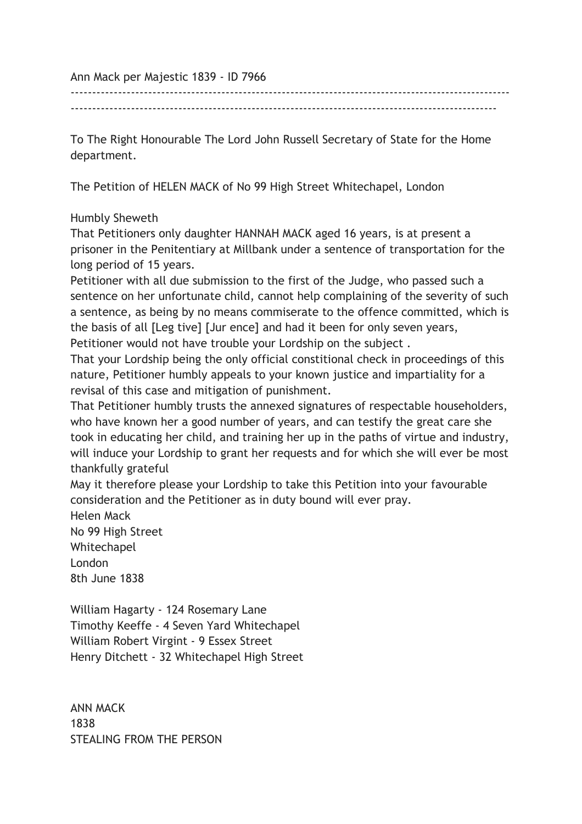Ann Mack per Majestic 1839 - ID 7966

------------------------------------------------------------------------------------------------------ ---------------------------------------------------------------------------------------------------

To The Right Honourable The Lord John Russell Secretary of State for the Home department.

The Petition of HELEN MACK of No 99 High Street Whitechapel, London

## Humbly Sheweth

That Petitioners only daughter HANNAH MACK aged 16 years, is at present a prisoner in the Penitentiary at Millbank under a sentence of transportation for the long period of 15 years.

Petitioner with all due submission to the first of the Judge, who passed such a sentence on her unfortunate child, cannot help complaining of the severity of such a sentence, as being by no means commiserate to the offence committed, which is the basis of all [Leg tive] [Jur ence] and had it been for only seven years, Petitioner would not have trouble your Lordship on the subject .

That your Lordship being the only official constitional check in proceedings of this nature, Petitioner humbly appeals to your known justice and impartiality for a revisal of this case and mitigation of punishment.

That Petitioner humbly trusts the annexed signatures of respectable householders, who have known her a good number of years, and can testify the great care she took in educating her child, and training her up in the paths of virtue and industry, will induce your Lordship to grant her requests and for which she will ever be most thankfully grateful

May it therefore please your Lordship to take this Petition into your favourable consideration and the Petitioner as in duty bound will ever pray.

Helen Mack No 99 High Street Whitechapel

London 8th June 1838

William Hagarty - 124 Rosemary Lane Timothy Keeffe - 4 Seven Yard Whitechapel William Robert Virgint - 9 Essex Street Henry Ditchett - 32 Whitechapel High Street

ANN MACK 1838 STEALING FROM THE PERSON